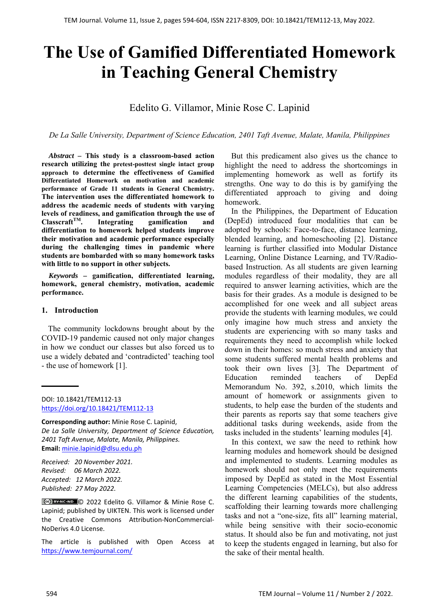# **The Use of Gamified Differentiated Homework in Teaching General Chemistry**

# Edelito G. Villamor, Minie Rose C. Lapinid

*De La Salle University, Department of Science Education, 2401 Taft Avenue, Malate, Manila, Philippines* 

*Abstract –* **This study is a classroom-based action research utilizing the pretest-posttest single intact group approach to determine the effectiveness of Gamified Differentiated Homework on motivation and academic performance of Grade 11 students in General Chemistry. The intervention uses the differentiated homework to address the academic needs of students with varying levels of readiness, and gamification through the use of ClasscraftTM. Integrating gamification and differentiation to homework helped students improve their motivation and academic performance especially during the challenging times in pandemic where students are bombarded with so many homework tasks with little to no support in other subjects.** 

*Keywords –* **gamification, differentiated learning, homework, general chemistry, motivation, academic performance.** 

#### **1. Introduction**

The community lockdowns brought about by the COVID-19 pandemic caused not only major changes in how we conduct our classes but also forced us to use a widely debated and 'contradicted' teaching tool - the use of homework [1].

DOI: 10.18421/TEM112-13 [https://doi.org/10.18421/TEM112](https://doi.org/10.18421/TEM112-13)-13

**Corresponding author:** Minie Rose C. Lapinid, *De La Salle University, Department of Science Education, 2401 Taft Avenue, Malate, Manila, Philippines.*  **Email:** minie.lapinid@dlsu.edu.ph

*Received: 20 November 2021. Revised: 06 March 2022. Accepted: 12 March 2022. Published: 27 May 2022.* 

© 2022 Edelito G. Villamor & Minie Rose C. Lapinid; published by UIKTEN. This work is licensed under the Creative Commons Attribution‐NonCommercial‐ NoDerivs 4.0 License.

The article is published with Open Access at https://www.temjournal.com/

But this predicament also gives us the chance to highlight the need to address the shortcomings in implementing homework as well as fortify its strengths. One way to do this is by gamifying the differentiated approach to giving and doing homework.

In the Philippines, the Department of Education (DepEd) introduced four modalities that can be adopted by schools: Face-to-face, distance learning, blended learning, and homeschooling [2]. Distance learning is further classified into Modular Distance Learning, Online Distance Learning, and TV/Radiobased Instruction. As all students are given learning modules regardless of their modality, they are all required to answer learning activities, which are the basis for their grades. As a module is designed to be accomplished for one week and all subject areas provide the students with learning modules, we could only imagine how much stress and anxiety the students are experiencing with so many tasks and requirements they need to accomplish while locked down in their homes: so much stress and anxiety that some students suffered mental health problems and took their own lives [3]. The Department of Education reminded teachers of DepEd Memorandum No. 392, s.2010, which limits the amount of homework or assignments given to students, to help ease the burden of the students and their parents as reports say that some teachers give additional tasks during weekends, aside from the tasks included in the students' learning modules [4].

In this context, we saw the need to rethink how learning modules and homework should be designed and implemented to students. Learning modules as homework should not only meet the requirements imposed by DepEd as stated in the Most Essential Learning Competencies (MELCs), but also address the different learning capabilities of the students, scaffolding their learning towards more challenging tasks and not a "one-size, fits all" learning material, while being sensitive with their socio-economic status. It should also be fun and motivating, not just to keep the students engaged in learning, but also for the sake of their mental health.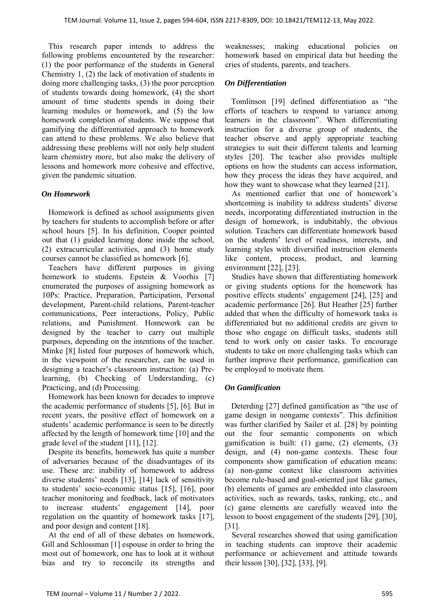This research paper intends to address the following problems encountered by the researcher: (1) the poor performance of the students in General Chemistry 1, (2) the lack of motivation of students in doing more challenging tasks, (3) the poor perception of students towards doing homework, (4) the short amount of time students spends in doing their learning modules or homework, and (5) the low homework completion of students. We suppose that gamifying the differentiated approach to homework can attend to these problems. We also believe that addressing these problems will not only help student learn chemistry more, but also make the delivery of lessons and homework more cohesive and effective, given the pandemic situation.

# *On Homework*

Homework is defined as school assignments given by teachers for students to accomplish before or after school hours [5]. In his definition, Cooper pointed out that (1) guided learning done inside the school, (2) extracurricular activities, and (3) home study courses cannot be classified as homework [6].

Teachers have different purposes in giving homework to students. Epstein & Voorhis [7] enumerated the purposes of assigning homework as 10Ps: Practice, Preparation, Participation, Personal development, Parent-child relations, Parent-teacher communications, Peer interactions, Policy, Public relations, and Punishment. Homework can be designed by the teacher to carry out multiple purposes, depending on the intentions of the teacher. Minke [8] listed four purposes of homework which, in the viewpoint of the researcher, can be used in designing a teacher's classroom instruction: (a) Prelearning, (b) Checking of Understanding, (c) Practicing, and (d) Processing.

Homework has been known for decades to improve the academic performance of students [5], [6]. But in recent years, the positive effect of homework on a students' academic performance is seen to be directly affected by the length of homework time [10] and the grade level of the student [11], [12].

Despite its benefits, homework has quite a number of adversaries because of the disadvantages of its use. These are: inability of homework to address diverse students' needs [13], [14] lack of sensitivity to students' socio-economic status [15], [16], poor teacher monitoring and feedback, lack of motivators to increase students' engagement [14], poor regulation on the quantity of homework tasks [17], and poor design and content [18].

At the end of all of these debates on homework, Gill and Schlossman [1] espouse in order to bring the most out of homework, one has to look at it without bias and try to reconcile its strengths and weaknesses; making educational policies on homework based on empirical data but heeding the cries of students, parents, and teachers.

## *On Differentiation*

Tomlinson [19] defined differentiation as "the efforts of teachers to respond to variance among learners in the classroom". When differentiating instruction for a diverse group of students, the teacher observe and apply appropriate teaching strategies to suit their different talents and learning styles [20]. The teacher also provides multiple options on how the students can access information, how they process the ideas they have acquired, and how they want to showcase what they learned [21].

As mentioned earlier that one of homework's shortcoming is inability to address students' diverse needs, incorporating differentiated instruction in the design of homework, is indubitably, the obvious solution. Teachers can differentiate homework based on the students' level of readiness, interests, and learning styles with diversified instruction elements like content, process, product, and learning environment [22], [23].

Studies have shown that differentiating homework or giving students options for the homework has positive effects students' engagement [24], [25] and academic performance [26]. But Heather [25] further added that when the difficulty of homework tasks is differentiated but no additional credits are given to those who engage on difficult tasks, students still tend to work only on easier tasks. To encourage students to take on more challenging tasks which can further improve their performance, gamification can be employed to motivate them.

#### *On Gamification*

Deterding [27] defined gamification as "the use of game design in nongame contexts". This definition was further clarified by Sailer et al. [28] by pointing out the four semantic components on which gamification is built: (1) game, (2) elements, (3) design, and (4) non-game contexts. These four components show gamification of education means: (a) non-game context like classroom activities become rule-based and goal-oriented just like games, (b) elements of games are embedded into classroom activities, such as rewards, tasks, ranking, etc., and (c) game elements are carefully weaved into the lesson to boost engagement of the students [29], [30], [31].

Several researches showed that using gamification in teaching students can improve their academic performance or achievement and attitude towards their lesson [30], [32], [33], [9].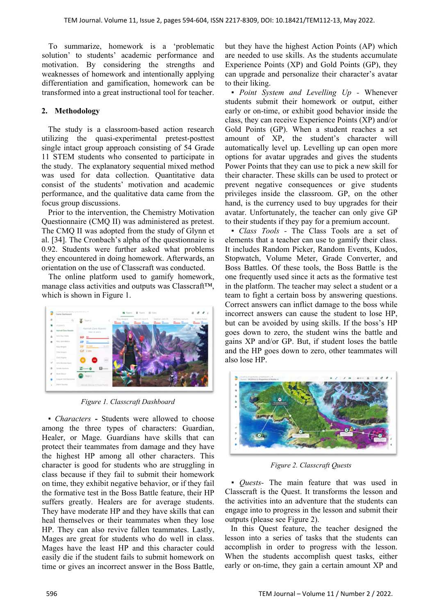To summarize, homework is a 'problematic solution' to students' academic performance and motivation. By considering the strengths and weaknesses of homework and intentionally applying differentiation and gamification, homework can be transformed into a great instructional tool for teacher.

# **2. Methodology**

The study is a classroom-based action research utilizing the quasi-experimental pretest-posttest single intact group approach consisting of 54 Grade 11 STEM students who consented to participate in the study. The explanatory sequential mixed method was used for data collection. Quantitative data consist of the students' motivation and academic performance, and the qualitative data came from the focus group discussions.

Prior to the intervention, the Chemistry Motivation Questionnaire (CMQ II) was administered as pretest. The CMQ II was adopted from the study of Glynn et al. [34]. The Cronbach's alpha of the questionnaire is 0.92. Students were further asked what problems they encountered in doing homework. Afterwards, an orientation on the use of Classcraft was conducted.

The online platform used to gamify homework, manage class activities and outputs was Classcraft™, which is shown in Figure 1.



*Figure 1. Classcraft Dashboard* 

▪ *Characters* **-** Students were allowed to choose among the three types of characters: Guardian, Healer, or Mage. Guardians have skills that can protect their teammates from damage and they have the highest HP among all other characters. This character is good for students who are struggling in class because if they fail to submit their homework on time, they exhibit negative behavior, or if they fail the formative test in the Boss Battle feature, their HP suffers greatly. Healers are for average students. They have moderate HP and they have skills that can heal themselves or their teammates when they lose HP. They can also revive fallen teammates. Lastly, Mages are great for students who do well in class. Mages have the least HP and this character could easily die if the student fails to submit homework on time or gives an incorrect answer in the Boss Battle, but they have the highest Action Points (AP) which are needed to use skills. As the students accumulate Experience Points (XP) and Gold Points (GP), they can upgrade and personalize their character's avatar to their liking.

*▪ Point System and Levelling Up -* Whenever students submit their homework or output, either early or on-time, or exhibit good behavior inside the class, they can receive Experience Points (XP) and/or Gold Points (GP). When a student reaches a set amount of XP, the student's character will automatically level up. Levelling up can open more options for avatar upgrades and gives the students Power Points that they can use to pick a new skill for their character. These skills can be used to protect or prevent negative consequences or give students privileges inside the classroom. GP, on the other hand, is the currency used to buy upgrades for their avatar. Unfortunately, the teacher can only give GP to their students if they pay for a premium account.

*▪ Class Tools* - The Class Tools are a set of elements that a teacher can use to gamify their class. It includes Random Picker, Random Events, Kudos, Stopwatch, Volume Meter, Grade Converter, and Boss Battles. Of these tools, the Boss Battle is the one frequently used since it acts as the formative test in the platform. The teacher may select a student or a team to fight a certain boss by answering questions. Correct answers can inflict damage to the boss while incorrect answers can cause the student to lose HP, but can be avoided by using skills. If the boss's HP goes down to zero, the student wins the battle and gains XP and/or GP. But, if student loses the battle and the HP goes down to zero, other teammates will also lose HP.



*Figure 2. Classcraft Quests* 

*▪ Quests-* The main feature that was used in Classcraft is the Quest. It transforms the lesson and the activities into an adventure that the students can engage into to progress in the lesson and submit their outputs (please see Figure 2).

In this Quest feature, the teacher designed the lesson into a series of tasks that the students can accomplish in order to progress with the lesson. When the students accomplish quest tasks, either early or on-time, they gain a certain amount XP and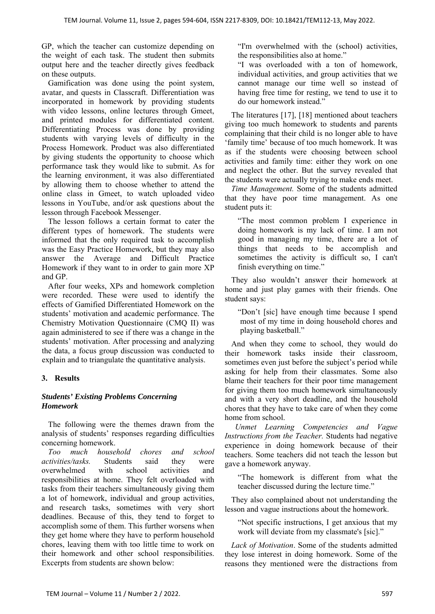GP, which the teacher can customize depending on the weight of each task. The student then submits output here and the teacher directly gives feedback on these outputs.

Gamification was done using the point system, avatar, and quests in Classcraft. Differentiation was incorporated in homework by providing students with video lessons, online lectures through Gmeet, and printed modules for differentiated content. Differentiating Process was done by providing students with varying levels of difficulty in the Process Homework. Product was also differentiated by giving students the opportunity to choose which performance task they would like to submit. As for the learning environment, it was also differentiated by allowing them to choose whether to attend the online class in Gmeet, to watch uploaded video lessons in YouTube, and/or ask questions about the lesson through Facebook Messenger.

The lesson follows a certain format to cater the different types of homework. The students were informed that the only required task to accomplish was the Easy Practice Homework, but they may also answer the Average and Difficult Practice Homework if they want to in order to gain more XP and GP.

After four weeks, XPs and homework completion were recorded. These were used to identify the effects of Gamified Differentiated Homework on the students' motivation and academic performance. The Chemistry Motivation Questionnaire (CMQ II) was again administered to see if there was a change in the students' motivation. After processing and analyzing the data, a focus group discussion was conducted to explain and to triangulate the quantitative analysis.

# **3. Results**

# *Students' Existing Problems Concerning Homework*

The following were the themes drawn from the analysis of students' responses regarding difficulties concerning homework.

*Too much household chores and school activities/tasks.* Students said they were overwhelmed with school activities and responsibilities at home. They felt overloaded with tasks from their teachers simultaneously giving them a lot of homework, individual and group activities, and research tasks, sometimes with very short deadlines. Because of this, they tend to forget to accomplish some of them. This further worsens when they get home where they have to perform household chores, leaving them with too little time to work on their homework and other school responsibilities. Excerpts from students are shown below:

"I'm overwhelmed with the (school) activities, the responsibilities also at home."

"I was overloaded with a ton of homework, individual activities, and group activities that we cannot manage our time well so instead of having free time for resting, we tend to use it to do our homework instead."

The literatures [17], [18] mentioned about teachers giving too much homework to students and parents complaining that their child is no longer able to have 'family time' because of too much homework. It was as if the students were choosing between school activities and family time: either they work on one and neglect the other. But the survey revealed that the students were actually trying to make ends meet.

*Time Management.* Some of the students admitted that they have poor time management. As one student puts it:

"The most common problem I experience in doing homework is my lack of time. I am not good in managing my time, there are a lot of things that needs to be accomplish and sometimes the activity is difficult so, I can't finish everything on time."

They also wouldn't answer their homework at home and just play games with their friends. One student says:

"Don't [sic] have enough time because I spend most of my time in doing household chores and playing basketball."

And when they come to school, they would do their homework tasks inside their classroom, sometimes even just before the subject's period while asking for help from their classmates. Some also blame their teachers for their poor time management for giving them too much homework simultaneously and with a very short deadline, and the household chores that they have to take care of when they come home from school.

*Unmet Learning Competencies and Vague Instructions from the Teacher.* Students had negative experience in doing homework because of their teachers. Some teachers did not teach the lesson but gave a homework anyway.

"The homework is different from what the teacher discussed during the lecture time."

They also complained about not understanding the lesson and vague instructions about the homework.

"Not specific instructions, I get anxious that my work will deviate from my classmate's [sic]."

*Lack of Motivation*. Some of the students admitted they lose interest in doing homework. Some of the reasons they mentioned were the distractions from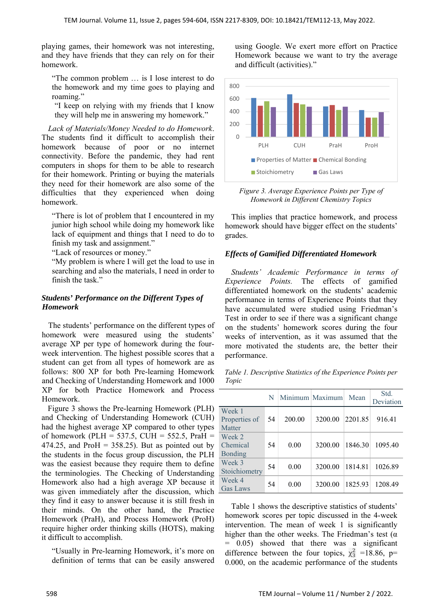playing games, their homework was not interesting, and they have friends that they can rely on for their homework.

"The common problem … is I lose interest to do the homework and my time goes to playing and roaming."

"I keep on relying with my friends that I know they will help me in answering my homework."

*Lack of Materials/Money Needed to do Homework*. The students find it difficult to accomplish their homework because of poor or no internet connectivity. Before the pandemic, they had rent computers in shops for them to be able to research for their homework. Printing or buying the materials they need for their homework are also some of the difficulties that they experienced when doing homework.

"There is lot of problem that I encountered in my junior high school while doing my homework like lack of equipment and things that I need to do to finish my task and assignment."

"Lack of resources or money."

"My problem is where I will get the load to use in searching and also the materials, I need in order to finish the task."

## *Students' Performance on the Different Types of Homework*

The students' performance on the different types of homework were measured using the students' average XP per type of homework during the fourweek intervention. The highest possible scores that a student can get from all types of homework are as follows: 800 XP for both Pre-learning Homework and Checking of Understanding Homework and 1000 XP for both Practice Homework and Process Homework.

Figure 3 shows the Pre-learning Homework (PLH) and Checking of Understanding Homework (CUH) had the highest average XP compared to other types of homework (PLH = 537.5, CUH = 552.5, PraH = 474.25, and ProH =  $358.25$ ). But as pointed out by the students in the focus group discussion, the PLH was the easiest because they require them to define the terminologies. The Checking of Understanding Homework also had a high average XP because it was given immediately after the discussion, which they find it easy to answer because it is still fresh in their minds. On the other hand, the Practice Homework (PraH), and Process Homework (ProH) require higher order thinking skills (HOTS), making it difficult to accomplish.

"Usually in Pre-learning Homework, it's more on definition of terms that can be easily answered using Google. We exert more effort on Practice Homework because we want to try the average and difficult (activities)."



*Figure 3. Average Experience Points per Type of Homework in Different Chemistry Topics* 

This implies that practice homework, and process homework should have bigger effect on the students' grades.

#### *Effects of Gamified Differentiated Homework*

*Students' Academic Performance in terms of Experience Points.* The effects of gamified differentiated homework on the students' academic performance in terms of Experience Points that they have accumulated were studied using Friedman's Test in order to see if there was a significant change on the students' homework scores during the four weeks of intervention, as it was assumed that the more motivated the students are, the better their performance.

*Table 1. Descriptive Statistics of the Experience Points per Topic* 

|                                      | N  |        | Minimum Maximum Mean |         | Std.<br>Deviation |
|--------------------------------------|----|--------|----------------------|---------|-------------------|
| Week 1<br>Properties of<br>Matter    | 54 | 200.00 | 3200.00              | 2201.85 | 916.41            |
| Week 2<br>Chemical<br><b>Bonding</b> | 54 | 0.00   | 3200.00              | 1846.30 | 1095.40           |
| Week 3<br>Stoichiometry              | 54 | 0.00   | 3200.00              | 1814.81 | 1026.89           |
| Week 4<br>Gas Laws                   | 54 | 0.00   | 3200.00              | 1825.93 | 1208.49           |

Table 1 shows the descriptive statistics of students' homework scores per topic discussed in the 4-week intervention. The mean of week 1 is significantly higher than the other weeks. The Friedman's test ( $\alpha$ ) = 0.05) showed that there was a significant difference between the four topics,  $\chi^2$  =18.86, p= 0.000, on the academic performance of the students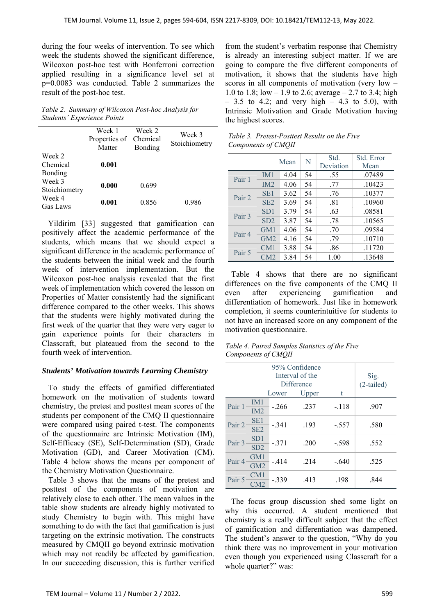during the four weeks of intervention. To see which week the students showed the significant difference, Wilcoxon post-hoc test with Bonferroni correction applied resulting in a significance level set at p=0.0083 was conducted. Table 2 summarizes the result of the post-hoc test.

*Table 2. Summary of Wilcoxon Post-hoc Analysis for Students' Experience Points* 

|               | Week 1<br>Properties of<br>Matter | Week 2<br>Chemical<br>Bonding | Week 3<br>Stoichiometry |
|---------------|-----------------------------------|-------------------------------|-------------------------|
| Week 2        |                                   |                               |                         |
| Chemical      | 0.001                             |                               |                         |
| Bonding       |                                   |                               |                         |
| Week 3        |                                   | 0.699                         |                         |
| Stoichiometry | 0.000                             |                               |                         |
| Week 4        |                                   |                               | 0.986                   |
| Gas Laws      | 0.001                             | 0.856                         |                         |
|               |                                   |                               |                         |

Yildirim [33] suggested that gamification can positively affect the academic performance of the students, which means that we should expect a significant difference in the academic performance of the students between the initial week and the fourth week of intervention implementation. But the Wilcoxon post-hoc analysis revealed that the first week of implementation which covered the lesson on Properties of Matter consistently had the significant difference compared to the other weeks. This shows that the students were highly motivated during the first week of the quarter that they were very eager to gain experience points for their characters in Classcraft, but plateaued from the second to the fourth week of intervention.

#### *Students' Motivation towards Learning Chemistry*

To study the effects of gamified differentiated homework on the motivation of students toward chemistry, the pretest and posttest mean scores of the students per component of the CMQ II questionnaire were compared using paired t-test. The components of the questionnaire are Intrinsic Motivation (IM), Self-Efficacy (SE), Self-Determination (SD), Grade Motivation (GD), and Career Motivation (CM). Table 4 below shows the means per component of the Chemistry Motivation Questionnaire.

Table 3 shows that the means of the pretest and posttest of the components of motivation are relatively close to each other. The mean values in the table show students are already highly motivated to study Chemistry to begin with. This might have something to do with the fact that gamification is just targeting on the extrinsic motivation. The constructs measured by CMQII go beyond extrinsic motivation which may not readily be affected by gamification. In our succeeding discussion, this is further verified

from the student's verbatim response that Chemistry is already an interesting subject matter. If we are going to compare the five different components of motivation, it shows that the students have high scores in all components of motivation (very low – 1.0 to 1.8; low – 1.9 to 2.6; average – 2.7 to 3.4; high  $-3.5$  to 4.2; and very high  $-4.3$  to 5.0), with Intrinsic Motivation and Grade Motivation having the highest scores.

| $\sim$            |                 |      |           |            |        |
|-------------------|-----------------|------|-----------|------------|--------|
| Mean              |                 | N    | Std.      | Std. Error |        |
|                   |                 |      | Deviation | Mean       |        |
| Pair 1            | IM1             | 4.04 | 54        | .55        | .07489 |
|                   | IM2             | 4.06 | 54        | .77        | .10423 |
| Pair 2            | SE <sub>1</sub> | 3.62 | 54        | .76        | .10377 |
|                   | SE <sub>2</sub> | 3.69 | 54        | .81        | .10960 |
| Pair 3            | SD1             | 3.79 | 54        | .63        | .08581 |
|                   | SD2             | 3.87 | 54        | .78        | .10565 |
| Pair <sub>4</sub> | GM1             | 4.06 | 54        | .70        | .09584 |
|                   | GM <sub>2</sub> | 4.16 | 54        | .79        | .10710 |
| Pair 5            | CM1             | 3.88 | 54        | .86        | .11720 |
|                   | CM2             | 3.84 | 54        | 1.00       | .13648 |

*Table 3. Pretest-Posttest Results on the Five Components of CMQII* 

Table 4 shows that there are no significant differences on the five components of the CMQ II even after experiencing gamification and differentiation of homework. Just like in homework completion, it seems counterintuitive for students to not have an increased score on any component of the motivation questionnaire.

*Table 4. Paired Samples Statistics of the Five Components of CMQII* 

|        |                                    |         | 95% Confidence<br>Interval of the<br><b>Difference</b> |         | Sig.<br>$(2-tailed)$ |
|--------|------------------------------------|---------|--------------------------------------------------------|---------|----------------------|
|        |                                    | Lower   | Upper                                                  | t       |                      |
| Pair 1 | IM <sub>1</sub><br>IM2             | $-.266$ | .237                                                   | $-.118$ | .907                 |
| Pair 2 | SE <sub>1</sub><br>SE <sub>2</sub> | $-.341$ | .193                                                   | $-.557$ | .580                 |
| Pair 3 | SD <sub>1</sub><br>SD2             | $-.371$ | .200                                                   | $-.598$ | .552                 |
| Pair 4 | GM1<br>GM2                         | $-.414$ | .214                                                   | $-.640$ | .525                 |
| Pair 5 | CM1<br>$\mathbb{C}\mathsf{M}2$     | $-339$  | .413                                                   | .198    | .844                 |

The focus group discussion shed some light on why this occurred. A student mentioned that chemistry is a really difficult subject that the effect of gamification and differentiation was dampened. The student's answer to the question, "Why do you think there was no improvement in your motivation even though you experienced using Classcraft for a whole quarter?" was: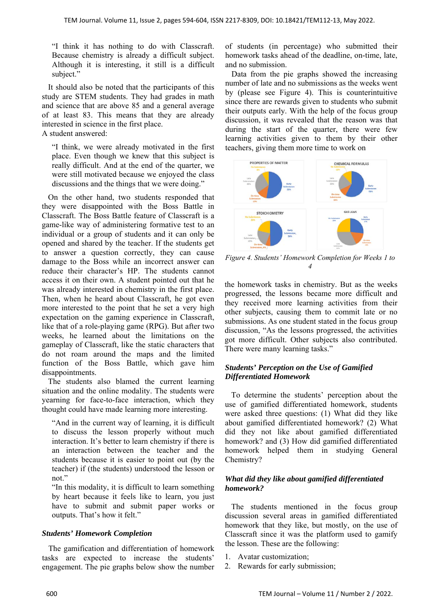"I think it has nothing to do with Classcraft. Because chemistry is already a difficult subject. Although it is interesting, it still is a difficult subject."

It should also be noted that the participants of this study are STEM students. They had grades in math and science that are above 85 and a general average of at least 83. This means that they are already interested in science in the first place. A student answered:

"I think, we were already motivated in the first place. Even though we knew that this subject is really difficult. And at the end of the quarter, we were still motivated because we enjoyed the class discussions and the things that we were doing."

On the other hand, two students responded that they were disappointed with the Boss Battle in Classcraft. The Boss Battle feature of Classcraft is a game-like way of administering formative test to an individual or a group of students and it can only be opened and shared by the teacher. If the students get to answer a question correctly, they can cause damage to the Boss while an incorrect answer can reduce their character's HP. The students cannot access it on their own. A student pointed out that he was already interested in chemistry in the first place. Then, when he heard about Classcraft, he got even more interested to the point that he set a very high expectation on the gaming experience in Classcraft, like that of a role-playing game (RPG). But after two weeks, he learned about the limitations on the gameplay of Classcraft, like the static characters that do not roam around the maps and the limited function of the Boss Battle, which gave him disappointments.

The students also blamed the current learning situation and the online modality. The students were yearning for face-to-face interaction, which they thought could have made learning more interesting.

"And in the current way of learning, it is difficult to discuss the lesson properly without much interaction. It's better to learn chemistry if there is an interaction between the teacher and the students because it is easier to point out (by the teacher) if (the students) understood the lesson or not."

"In this modality, it is difficult to learn something by heart because it feels like to learn, you just have to submit and submit paper works or outputs. That's how it felt."

#### *Students' Homework Completion*

The gamification and differentiation of homework tasks are expected to increase the students' engagement. The pie graphs below show the number of students (in percentage) who submitted their homework tasks ahead of the deadline, on-time, late, and no submission.

Data from the pie graphs showed the increasing number of late and no submissions as the weeks went by (please see Figure 4). This is counterintuitive since there are rewards given to students who submit their outputs early. With the help of the focus group discussion, it was revealed that the reason was that during the start of the quarter, there were few learning activities given to them by their other teachers, giving them more time to work on



*Figure 4. Students' Homework Completion for Weeks 1 to 4* 

the homework tasks in chemistry. But as the weeks progressed, the lessons became more difficult and they received more learning activities from their other subjects, causing them to commit late or no submissions. As one student stated in the focus group discussion, "As the lessons progressed, the activities got more difficult. Other subjects also contributed. There were many learning tasks."

#### *Students' Perception on the Use of Gamified Differentiated Homework*

To determine the students' perception about the use of gamified differentiated homework, students were asked three questions: (1) What did they like about gamified differentiated homework? (2) What did they not like about gamified differentiated homework? and (3) How did gamified differentiated homework helped them in studying General Chemistry?

#### *What did they like about gamified differentiated homework?*

The students mentioned in the focus group discussion several areas in gamified differentiated homework that they like, but mostly, on the use of Classcraft since it was the platform used to gamify the lesson. These are the following:

- 1. Avatar customization;
- 2. Rewards for early submission;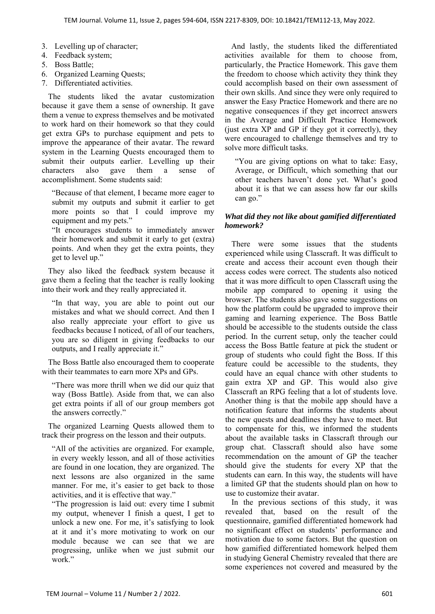- 3. Levelling up of character;
- 4. Feedback system;
- 5. Boss Battle;
- 6. Organized Learning Quests;
- 7. Differentiated activities.

The students liked the avatar customization because it gave them a sense of ownership. It gave them a venue to express themselves and be motivated to work hard on their homework so that they could get extra GPs to purchase equipment and pets to improve the appearance of their avatar. The reward system in the Learning Quests encouraged them to submit their outputs earlier. Levelling up their characters also gave them a sense of accomplishment. Some students said:

"Because of that element, I became more eager to submit my outputs and submit it earlier to get more points so that I could improve my equipment and my pets."

"It encourages students to immediately answer their homework and submit it early to get (extra) points. And when they get the extra points, they get to level up."

They also liked the feedback system because it gave them a feeling that the teacher is really looking into their work and they really appreciated it.

"In that way, you are able to point out our mistakes and what we should correct. And then I also really appreciate your effort to give us feedbacks because I noticed, of all of our teachers, you are so diligent in giving feedbacks to our outputs, and I really appreciate it."

The Boss Battle also encouraged them to cooperate with their teammates to earn more XPs and GPs.

"There was more thrill when we did our quiz that way (Boss Battle). Aside from that, we can also get extra points if all of our group members got the answers correctly."

The organized Learning Quests allowed them to track their progress on the lesson and their outputs.

"All of the activities are organized. For example, in every weekly lesson, and all of those activities are found in one location, they are organized. The next lessons are also organized in the same manner. For me, it's easier to get back to those activities, and it is effective that way."

"The progression is laid out: every time I submit my output, whenever I finish a quest, I get to unlock a new one. For me, it's satisfying to look at it and it's more motivating to work on our module because we can see that we are progressing, unlike when we just submit our work."

And lastly, the students liked the differentiated activities available for them to choose from, particularly, the Practice Homework. This gave them the freedom to choose which activity they think they could accomplish based on their own assessment of their own skills. And since they were only required to answer the Easy Practice Homework and there are no negative consequences if they get incorrect answers in the Average and Difficult Practice Homework (just extra XP and GP if they got it correctly), they were encouraged to challenge themselves and try to solve more difficult tasks.

"You are giving options on what to take: Easy, Average, or Difficult, which something that our other teachers haven't done yet. What's good about it is that we can assess how far our skills can go."

# *What did they not like about gamified differentiated homework?*

There were some issues that the students experienced while using Classcraft. It was difficult to create and access their account even though their access codes were correct. The students also noticed that it was more difficult to open Classcraft using the mobile app compared to opening it using the browser. The students also gave some suggestions on how the platform could be upgraded to improve their gaming and learning experience. The Boss Battle should be accessible to the students outside the class period. In the current setup, only the teacher could access the Boss Battle feature at pick the student or group of students who could fight the Boss. If this feature could be accessible to the students, they could have an equal chance with other students to gain extra XP and GP. This would also give Classcraft an RPG feeling that a lot of students love. Another thing is that the mobile app should have a notification feature that informs the students about the new quests and deadlines they have to meet. But to compensate for this, we informed the students about the available tasks in Classcraft through our group chat. Classcraft should also have some recommendation on the amount of GP the teacher should give the students for every XP that the students can earn. In this way, the students will have a limited GP that the students should plan on how to use to customize their avatar.

In the previous sections of this study, it was revealed that, based on the result of the questionnaire, gamified differentiated homework had no significant effect on students' performance and motivation due to some factors. But the question on how gamified differentiated homework helped them in studying General Chemistry revealed that there are some experiences not covered and measured by the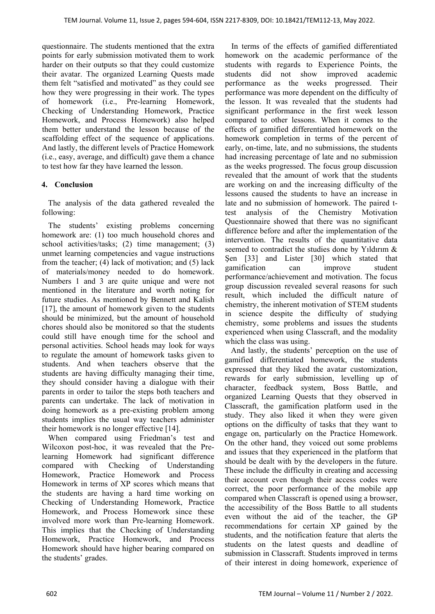questionnaire. The students mentioned that the extra points for early submission motivated them to work harder on their outputs so that they could customize their avatar. The organized Learning Quests made them felt "satisfied and motivated" as they could see how they were progressing in their work. The types of homework (i.e., Pre-learning Homework, Checking of Understanding Homework, Practice Homework, and Process Homework) also helped them better understand the lesson because of the scaffolding effect of the sequence of applications. And lastly, the different levels of Practice Homework (i.e., easy, average, and difficult) gave them a chance to test how far they have learned the lesson.

# **4. Conclusion**

The analysis of the data gathered revealed the following:

The students' existing problems concerning homework are: (1) too much household chores and school activities/tasks; (2) time management; (3) unmet learning competencies and vague instructions from the teacher; (4) lack of motivation; and (5) lack of materials/money needed to do homework. Numbers 1 and 3 are quite unique and were not mentioned in the literature and worth noting for future studies. As mentioned by Bennett and Kalish [17], the amount of homework given to the students should be minimized, but the amount of household chores should also be monitored so that the students could still have enough time for the school and personal activities. School heads may look for ways to regulate the amount of homework tasks given to students. And when teachers observe that the students are having difficulty managing their time, they should consider having a dialogue with their parents in order to tailor the steps both teachers and parents can undertake. The lack of motivation in doing homework as a pre-existing problem among students implies the usual way teachers administer their homework is no longer effective [14].

When compared using Friedman's test and Wilcoxon post-hoc, it was revealed that the Prelearning Homework had significant difference compared with Checking of Understanding Homework, Practice Homework and Process Homework in terms of XP scores which means that the students are having a hard time working on Checking of Understanding Homework, Practice Homework, and Process Homework since these involved more work than Pre-learning Homework. This implies that the Checking of Understanding Homework, Practice Homework, and Process Homework should have higher bearing compared on the students' grades.

In terms of the effects of gamified differentiated homework on the academic performance of the students with regards to Experience Points, the students did not show improved academic performance as the weeks progressed. Their performance was more dependent on the difficulty of the lesson. It was revealed that the students had significant performance in the first week lesson compared to other lessons. When it comes to the effects of gamified differentiated homework on the homework completion in terms of the percent of early, on-time, late, and no submissions, the students had increasing percentage of late and no submission as the weeks progressed. The focus group discussion revealed that the amount of work that the students are working on and the increasing difficulty of the lessons caused the students to have an increase in late and no submission of homework. The paired ttest analysis of the Chemistry Motivation Questionnaire showed that there was no significant difference before and after the implementation of the intervention. The results of the quantitative data seemed to contradict the studies done by Yıldırım & Şen [33] and Lister [30] which stated that gamification can improve student performance/achievement and motivation. The focus group discussion revealed several reasons for such result, which included the difficult nature of chemistry, the inherent motivation of STEM students in science despite the difficulty of studying chemistry, some problems and issues the students experienced when using Classcraft, and the modality which the class was using.

And lastly, the students' perception on the use of gamified differentiated homework, the students expressed that they liked the avatar customization, rewards for early submission, levelling up of character, feedback system, Boss Battle, and organized Learning Quests that they observed in Classcraft, the gamification platform used in the study. They also liked it when they were given options on the difficulty of tasks that they want to engage on, particularly on the Practice Homework. On the other hand, they voiced out some problems and issues that they experienced in the platform that should be dealt with by the developers in the future. These include the difficulty in creating and accessing their account even though their access codes were correct, the poor performance of the mobile app compared when Classcraft is opened using a browser, the accessibility of the Boss Battle to all students even without the aid of the teacher, the GP recommendations for certain XP gained by the students, and the notification feature that alerts the students on the latest quests and deadline of submission in Classcraft. Students improved in terms of their interest in doing homework, experience of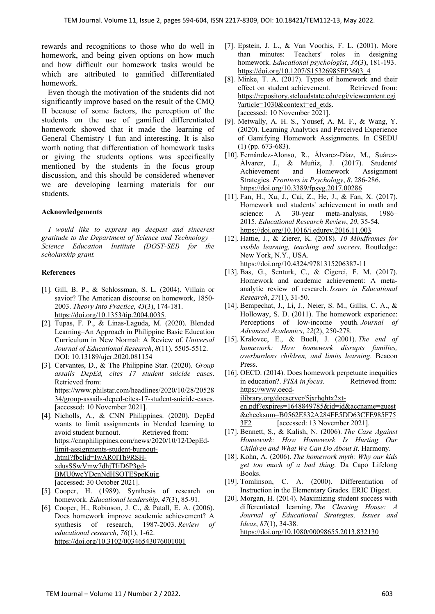rewards and recognitions to those who do well in homework, and being given options on how much and how difficult our homework tasks would be which are attributed to gamified differentiated homework.

Even though the motivation of the students did not significantly improve based on the result of the CMQ II because of some factors, the perception of the students on the use of gamified differentiated homework showed that it made the learning of General Chemistry 1 fun and interesting. It is also worth noting that differentiation of homework tasks or giving the students options was specifically mentioned by the students in the focus group discussion, and this should be considered whenever we are developing learning materials for our students.

#### **Acknowledgements**

*I would like to express my deepest and sincerest gratitude to the Department of Science and Technology – Science Education Institute (DOST-SEI) for the scholarship grant.* 

#### **References**

- [1]. Gill, B. P., & Schlossman, S. L. (2004). Villain or savior? The American discourse on homework, 1850- 2003. *Theory Into Practice*, *43*(3), 174-181. https://doi.org/10.1353/tip.2004.0035.
- [2]. Tupas, F. P., & Linas-Laguda, M. (2020). Blended Learning–An Approach in Philippine Basic Education Curriculum in New Normal: A Review of. *Universal Journal of Educational Research*, *8*(11), 5505-5512. DOI: 10.13189/ujer.2020.081154
- [3]. Cervantes, D., & The Philippine Star. (2020). *Group assails DepEd, cites 17 student suicide cases*. Retrieved from: https://www.philstar.com/headlines/2020/10/28/20528 34/group-assails-deped-cites-17-student-suicide-cases. [accessed: 10 November 2021].
- [4]. Nicholls, A., & CNN Philippines. (2020). DepEd wants to limit assignments in blended learning to avoid student burnout. Retrieved from: https://cnnphilippines.com/news/2020/10/12/DepEdlimit-assignments-student-burnout- .html?fbclid=IwAR0ITh9RSHxdusSSwVmw7dhjTIiD6P3gd-BMU0wcYDcnNdHSOTESpeKujg. [accessed: 30 October 2021].
- [5]. Cooper, H. (1989). Synthesis of research on homework. *Educational leadership*, *47*(3), 85-91.
- [6]. Cooper, H., Robinson, J. C., & Patall, E. A. (2006). Does homework improve academic achievement? A synthesis of research, 1987-2003. *Review of educational research*, *76*(1), 1-62. https://doi.org/10.3102/00346543076001001
- [7]. Epstein, J. L., & Van Voorhis, F. L. (2001). More than minutes: Teachers' roles in designing homework. *Educational psychologist*, *36*(3), 181-193. https://doi.org/10.1207/S15326985EP3603\_4
- [8]. Minke, T. A. (2017). Types of homework and their effect on student achievement. Retrieved from: https://repository.stcloudstate.edu/cgi/viewcontent.cgi ?article=1030&context=ed\_etds. [accessed: 10 November 2021].
- [9]. Metwally, A. H. S., Yousef, A. M. F., & Wang, Y. (2020). Learning Analytics and Perceived Experience of Gamifying Homework Assignments. In CSEDU (1) (pp. 673-683).
- [10]. Fernández-Alonso, R., Álvarez-Díaz, M., Suárez-Álvarez, J., & Muñiz, J. (2017). Students' Achievement and Homework Assignment Strategies. *Frontiers in Psychology*, *8*, 286-286. https://doi.org/10.3389/fpsyg.2017.00286
- [11]. Fan, H., Xu, J., Cai, Z., He, J., & Fan, X. (2017). Homework and students' achievement in math and science: A 30-year meta-analysis, 1986– 2015. *Educational Research Review*, *20*, 35-54. https://doi.org/10.1016/j.edurev.2016.11.003
- [12]. Hattie, J., & Zierer, K. (2018). *10 Mindframes for visible learning, teaching and success*. Routledge: New York, N.Y., USA. https://doi.org/10.4324/9781315206387-11
- [13]. Bas, G., Senturk, C., & Cigerci, F. M. (2017). Homework and academic achievement: A metaanalytic review of research. *Issues in Educational Research*, *27*(1), 31-50.
- [14]. Bempechat, J., Li, J., Neier, S. M., Gillis, C. A., & Holloway, S. D. (2011). The homework experience: Perceptions of low-income youth. *Journal of Advanced Academics*, *22*(2), 250-278.
- [15]. Kralovec, E., & Buell, J. (2001). *The end of homework: How homework disrupts families, overburdens children, and limits learning*. Beacon Press.
- [16]. OECD. (2014). Does homework perpetuate inequities in education?. *PISA in focus*. Retrieved from: https://www.oecdilibrary.org/docserver/5jxrhqhtx2xten.pdf?expires=1648849785&id=id&accname=guest &checksum=B0562E832A284FE5DD63CFE985F75 3F2 [accessed: 13 November 2021].
- [17]. Bennett, S., & Kalish, N. (2006). *The Case Against Homework: How Homework Is Hurting Our Children and What We Can Do About It*. Harmony.
- [18]. Kohn, A. (2006). *The homework myth: Why our kids get too much of a bad thing*. Da Capo Lifelong Books.
- [19]. Tomlinson, C. A. (2000). Differentiation of Instruction in the Elementary Grades. ERIC Digest.
- [20]. Morgan, H. (2014). Maximizing student success with differentiated learning. *The Clearing House: A Journal of Educational Strategies, Issues and Ideas*, *87*(1), 34-38. https://doi.org/10.1080/00098655.2013.832130